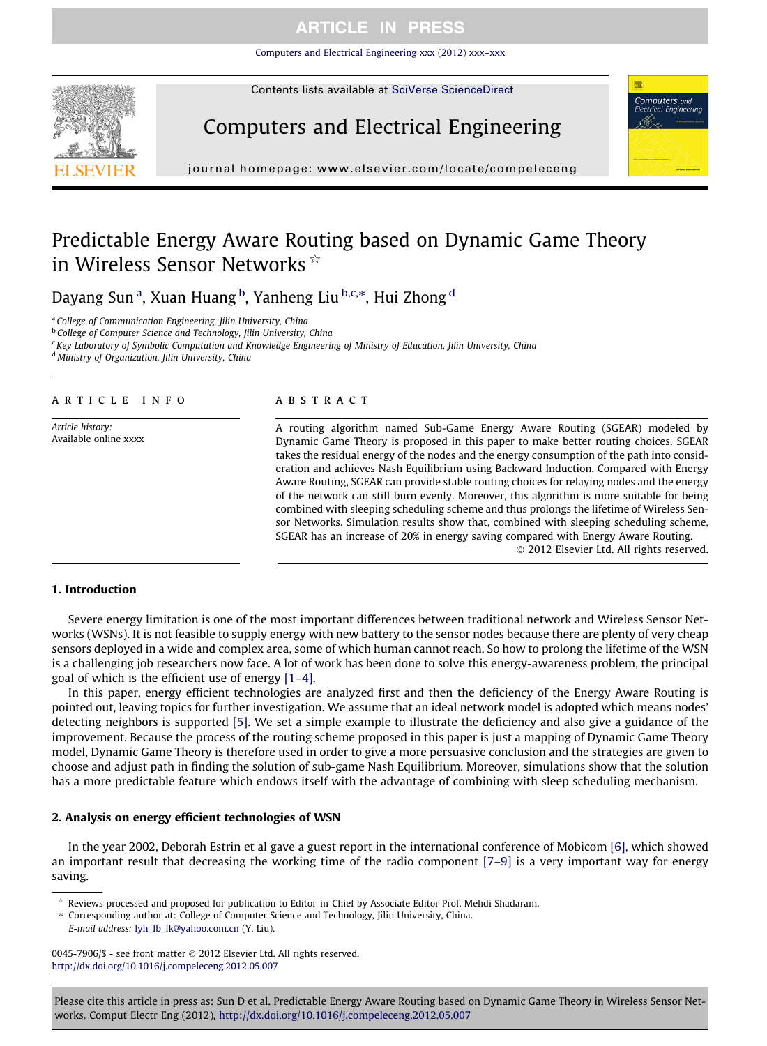### **ARTICLE IN PRESS**

[Computers and Electrical Engineering xxx \(2012\) xxx–xxx](http://dx.doi.org/10.1016/j.compeleceng.2012.05.007)



Contents lists available at [SciVerse ScienceDirect](http://www.sciencedirect.com/science/journal/00457906)

# Computers and Electrical Engineering



journal homepage: [www.elsevier.com/locate/compeleceng](http://www.elsevier.com/locate/compeleceng)

## Predictable Energy Aware Routing based on Dynamic Game Theory in Wireless Sensor Networks \*

Dayang Sun<sup>a</sup>, Xuan Huang <sup>b</sup>, Yanheng Liu <sup>b,c,</sup>\*, Hui Zhong <sup>d</sup>

<sup>a</sup> College of Communication Engineering, Jilin University, China

**b College of Computer Science and Technology, Jilin University, China** 

 $c$  Key Laboratory of Symbolic Computation and Knowledge Engineering of Ministry of Education, Iilin University, China

<sup>d</sup> Ministry of Organization, Jilin University, China

#### article info

Article history: Available online xxxx

### A B S T R A C T

A routing algorithm named Sub-Game Energy Aware Routing (SGEAR) modeled by Dynamic Game Theory is proposed in this paper to make better routing choices. SGEAR takes the residual energy of the nodes and the energy consumption of the path into consideration and achieves Nash Equilibrium using Backward Induction. Compared with Energy Aware Routing, SGEAR can provide stable routing choices for relaying nodes and the energy of the network can still burn evenly. Moreover, this algorithm is more suitable for being combined with sleeping scheduling scheme and thus prolongs the lifetime of Wireless Sensor Networks. Simulation results show that, combined with sleeping scheduling scheme, SGEAR has an increase of 20% in energy saving compared with Energy Aware Routing. - 2012 Elsevier Ltd. All rights reserved.

#### 1. Introduction

Severe energy limitation is one of the most important differences between traditional network and Wireless Sensor Networks (WSNs). It is not feasible to supply energy with new battery to the sensor nodes because there are plenty of very cheap sensors deployed in a wide and complex area, some of which human cannot reach. So how to prolong the lifetime of the WSN is a challenging job researchers now face. A lot of work has been done to solve this energy-awareness problem, the principal goal of which is the efficient use of energy [\[1–4\]](#page--1-0).

In this paper, energy efficient technologies are analyzed first and then the deficiency of the Energy Aware Routing is pointed out, leaving topics for further investigation. We assume that an ideal network model is adopted which means nodes' detecting neighbors is supported [\[5\].](#page--1-0) We set a simple example to illustrate the deficiency and also give a guidance of the improvement. Because the process of the routing scheme proposed in this paper is just a mapping of Dynamic Game Theory model, Dynamic Game Theory is therefore used in order to give a more persuasive conclusion and the strategies are given to choose and adjust path in finding the solution of sub-game Nash Equilibrium. Moreover, simulations show that the solution has a more predictable feature which endows itself with the advantage of combining with sleep scheduling mechanism.

### 2. Analysis on energy efficient technologies of WSN

In the year 2002, Deborah Estrin et al gave a guest report in the international conference of Mobicom [\[6\]](#page--1-0), which showed an important result that decreasing the working time of the radio component [\[7–9\]](#page--1-0) is a very important way for energy saving.

Reviews processed and proposed for publication to Editor-in-Chief by Associate Editor Prof. Mehdi Shadaram.

⇑ Corresponding author at: College of Computer Science and Technology, Jilin University, China. E-mail address: [lyh\\_lb\\_lk@yahoo.com.cn](mailto:lyh_lb_lk@yahoo.com.cn) (Y. Liu).

0045-7906/\$ - see front matter © 2012 Elsevier Ltd. All rights reserved. <http://dx.doi.org/10.1016/j.compeleceng.2012.05.007>

Please cite this article in press as: Sun D et al. Predictable Energy Aware Routing based on Dynamic Game Theory in Wireless Sensor Networks. Comput Electr Eng (2012), <http://dx.doi.org/10.1016/j.compeleceng.2012.05.007>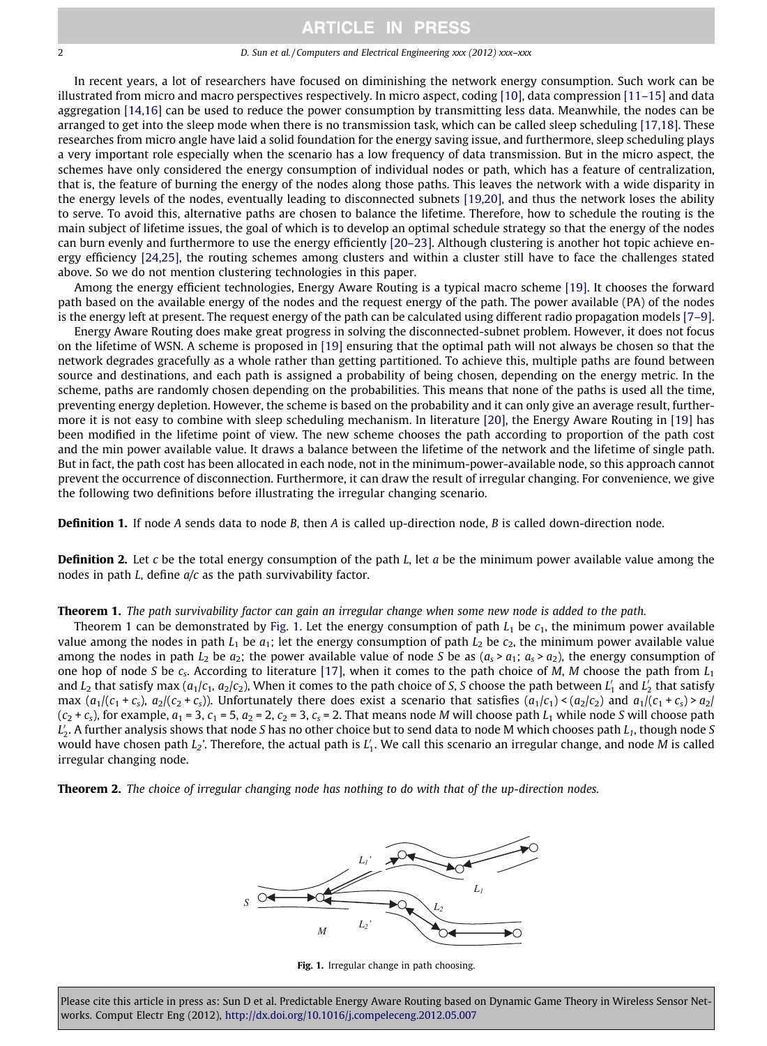### **ARTICLE IN PRESS**

2 D. Sun et al. / Computers and Electrical Engineering xxx (2012) xxx–xxx

In recent years, a lot of researchers have focused on diminishing the network energy consumption. Such work can be illustrated from micro and macro perspectives respectively. In micro aspect, coding [\[10\],](#page--1-0) data compression [\[11–15\]](#page--1-0) and data aggregation [\[14,16\]](#page--1-0) can be used to reduce the power consumption by transmitting less data. Meanwhile, the nodes can be arranged to get into the sleep mode when there is no transmission task, which can be called sleep scheduling [\[17,18\].](#page--1-0) These researches from micro angle have laid a solid foundation for the energy saving issue, and furthermore, sleep scheduling plays a very important role especially when the scenario has a low frequency of data transmission. But in the micro aspect, the schemes have only considered the energy consumption of individual nodes or path, which has a feature of centralization, that is, the feature of burning the energy of the nodes along those paths. This leaves the network with a wide disparity in the energy levels of the nodes, eventually leading to disconnected subnets [\[19,20\]](#page--1-0), and thus the network loses the ability to serve. To avoid this, alternative paths are chosen to balance the lifetime. Therefore, how to schedule the routing is the main subject of lifetime issues, the goal of which is to develop an optimal schedule strategy so that the energy of the nodes can burn evenly and furthermore to use the energy efficiently [\[20–23\].](#page--1-0) Although clustering is another hot topic achieve energy efficiency [\[24,25\]](#page--1-0), the routing schemes among clusters and within a cluster still have to face the challenges stated above. So we do not mention clustering technologies in this paper.

Among the energy efficient technologies, Energy Aware Routing is a typical macro scheme [\[19\].](#page--1-0) It chooses the forward path based on the available energy of the nodes and the request energy of the path. The power available (PA) of the nodes is the energy left at present. The request energy of the path can be calculated using different radio propagation models [\[7–9\]](#page--1-0).

Energy Aware Routing does make great progress in solving the disconnected-subnet problem. However, it does not focus on the lifetime of WSN. A scheme is proposed in [\[19\]](#page--1-0) ensuring that the optimal path will not always be chosen so that the network degrades gracefully as a whole rather than getting partitioned. To achieve this, multiple paths are found between source and destinations, and each path is assigned a probability of being chosen, depending on the energy metric. In the scheme, paths are randomly chosen depending on the probabilities. This means that none of the paths is used all the time, preventing energy depletion. However, the scheme is based on the probability and it can only give an average result, furthermore it is not easy to combine with sleep scheduling mechanism. In literature [\[20\],](#page--1-0) the Energy Aware Routing in [\[19\]](#page--1-0) has been modified in the lifetime point of view. The new scheme chooses the path according to proportion of the path cost and the min power available value. It draws a balance between the lifetime of the network and the lifetime of single path. But in fact, the path cost has been allocated in each node, not in the minimum-power-available node, so this approach cannot prevent the occurrence of disconnection. Furthermore, it can draw the result of irregular changing. For convenience, we give the following two definitions before illustrating the irregular changing scenario.

**Definition 1.** If node A sends data to node B, then A is called up-direction node, B is called down-direction node.

**Definition 2.** Let c be the total energy consumption of the path L, let a be the minimum power available value among the nodes in path  $L$ , define  $a/c$  as the path survivability factor.

Theorem 1. The path survivability factor can gain an irregular change when some new node is added to the path.

Theorem 1 can be demonstrated by Fig. 1. Let the energy consumption of path  $L_1$  be  $c_1$ , the minimum power available value among the nodes in path  $L_1$  be  $a_1$ ; let the energy consumption of path  $L_2$  be  $c_2$ , the minimum power available value among the nodes in path  $L_2$  be  $a_2$ ; the power available value of node S be as  $(a_s > a_1; a_s > a_2)$ , the energy consumption of one hop of node S be  $c_s$ . According to literature [\[17\]](#page--1-0), when it comes to the path choice of M, M choose the path from  $L_1$ and  $L_2$  that satisfy max ( $a_1/c_1$ ,  $a_2/c_2$ ), When it comes to the path choice of S, S choose the path between  $L_1'$  and  $L_2'$  that satisfy max  $(a_1/(c_1+c_s), a_2/(c_2+c_s))$ . Unfortunately there does exist a scenario that satisfies  $(a_1/c_1) < (a_2/c_2)$  and  $a_1/(c_1+c_s) > a_2/$  $(c_2 + c_s)$ , for example,  $a_1 = 3$ ,  $c_1 = 5$ ,  $a_2 = 2$ ,  $c_2 = 3$ ,  $c_s = 2$ . That means node M will choose path  $L_1$  while node S will choose path  $L_2'$ . A further analysis shows that node S has no other choice but to send data to node M which chooses path  $L_1$ , though node S would have chosen path  $L_2$ '. Therefore, the actual path is  $L_1'$ . We call this scenario an irregular change, and node M is called irregular changing node.

Theorem 2. The choice of irregular changing node has nothing to do with that of the up-direction nodes.



Fig. 1. Irregular change in path choosing.

Please cite this article in press as: Sun D et al. Predictable Energy Aware Routing based on Dynamic Game Theory in Wireless Sensor Networks. Comput Electr Eng (2012), <http://dx.doi.org/10.1016/j.compeleceng.2012.05.007>